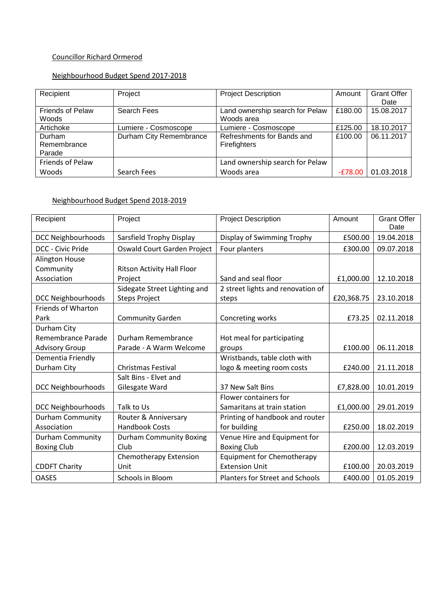# Councillor Richard Ormerod

# Neighbourhood Budget Spend 2017-2018

| Recipient               | Project                 | <b>Project Description</b>      | Amount    | <b>Grant Offer</b> |
|-------------------------|-------------------------|---------------------------------|-----------|--------------------|
|                         |                         |                                 |           | Date               |
| <b>Friends of Pelaw</b> | Search Fees             | Land ownership search for Pelaw | £180.00   | 15.08.2017         |
| Woods                   |                         | Woods area                      |           |                    |
| Artichoke               | Lumiere - Cosmoscope    | Lumiere - Cosmoscope            | £125.00   | 18.10.2017         |
| Durham                  | Durham City Remembrance | Refreshments for Bands and      | £100.00   | 06.11.2017         |
| Remembrance             |                         | Firefighters                    |           |                    |
| Parade                  |                         |                                 |           |                    |
| Friends of Pelaw        |                         | Land ownership search for Pelaw |           |                    |
| Woods                   | Search Fees             | Woods area                      | $-E78.00$ | 01.03.2018         |

#### Neighbourhood Budget Spend 2018-2019

| Recipient                 | Project                           | <b>Project Description</b>             | Amount     | <b>Grant Offer</b> |
|---------------------------|-----------------------------------|----------------------------------------|------------|--------------------|
| <b>DCC Neighbourhoods</b> | Sarsfield Trophy Display          | Display of Swimming Trophy             | £500.00    | Date<br>19.04.2018 |
|                           |                                   |                                        |            |                    |
| <b>DCC - Civic Pride</b>  | Oswald Court Garden Project       | Four planters                          | £300.00    | 09.07.2018         |
| <b>Alington House</b>     |                                   |                                        |            |                    |
| Community                 | <b>Ritson Activity Hall Floor</b> |                                        |            |                    |
| Association               | Project                           | Sand and seal floor                    | £1,000.00  | 12.10.2018         |
|                           | Sidegate Street Lighting and      | 2 street lights and renovation of      |            |                    |
| <b>DCC Neighbourhoods</b> | <b>Steps Project</b>              | steps                                  | £20,368.75 | 23.10.2018         |
| <b>Friends of Wharton</b> |                                   |                                        |            |                    |
| Park                      | <b>Community Garden</b>           | Concreting works                       | £73.25     | 02.11.2018         |
| Durham City               |                                   |                                        |            |                    |
| Remembrance Parade        | Durham Remembrance                | Hot meal for participating             |            |                    |
| <b>Advisory Group</b>     | Parade - A Warm Welcome           | groups                                 | £100.00    | 06.11.2018         |
| Dementia Friendly         |                                   | Wristbands, table cloth with           |            |                    |
| Durham City               | <b>Christmas Festival</b>         | logo & meeting room costs              | £240.00    | 21.11.2018         |
|                           | Salt Bins - Elvet and             |                                        |            |                    |
| <b>DCC Neighbourhoods</b> | Gilesgate Ward                    | 37 New Salt Bins                       | £7,828.00  | 10.01.2019         |
|                           |                                   | Flower containers for                  |            |                    |
| <b>DCC Neighbourhoods</b> | Talk to Us                        | Samaritans at train station            | £1,000.00  | 29.01.2019         |
| <b>Durham Community</b>   | Router & Anniversary              | Printing of handbook and router        |            |                    |
| Association               | <b>Handbook Costs</b>             | for building                           | £250.00    | 18.02.2019         |
| <b>Durham Community</b>   | <b>Durham Community Boxing</b>    | Venue Hire and Equipment for           |            |                    |
| <b>Boxing Club</b>        | Club                              | <b>Boxing Club</b>                     | £200.00    | 12.03.2019         |
|                           | Chemotherapy Extension            | <b>Equipment for Chemotherapy</b>      |            |                    |
| <b>CDDFT Charity</b>      | Unit                              | <b>Extension Unit</b>                  | £100.00    | 20.03.2019         |
| <b>OASES</b>              | Schools in Bloom                  | <b>Planters for Street and Schools</b> | £400.00    | 01.05.2019         |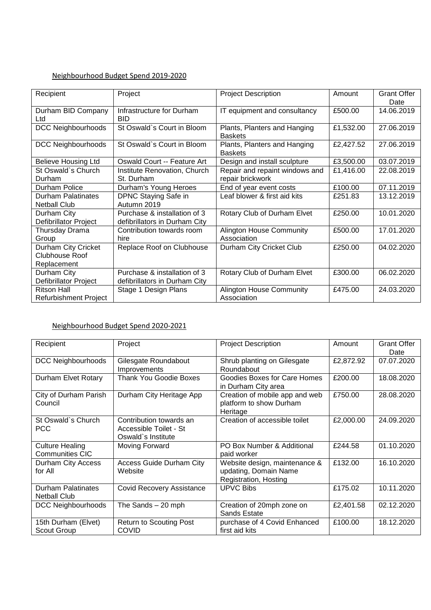### Neighbourhood Budget Spend 2019-2020

| Recipient                    | Project                       | <b>Project Description</b>      | Amount    | <b>Grant Offer</b> |
|------------------------------|-------------------------------|---------------------------------|-----------|--------------------|
|                              |                               |                                 |           | Date               |
| Durham BID Company           | Infrastructure for Durham     | IT equipment and consultancy    | £500.00   | 14.06.2019         |
| Ltd                          | <b>BID</b>                    |                                 |           |                    |
| <b>DCC Neighbourhoods</b>    | St Oswald's Court in Bloom    | Plants, Planters and Hanging    | £1,532.00 | 27.06.2019         |
|                              |                               | <b>Baskets</b>                  |           |                    |
| <b>DCC Neighbourhoods</b>    | St Oswald's Court in Bloom    | Plants, Planters and Hanging    | £2,427.52 | 27.06.2019         |
|                              |                               | <b>Baskets</b>                  |           |                    |
| <b>Believe Housing Ltd</b>   | Oswald Court -- Feature Art   | Design and install sculpture    | £3,500.00 | 03.07.2019         |
| St Oswald's Church           | Institute Renovation, Church  | Repair and repaint windows and  | £1,416.00 | 22.08.2019         |
| Durham                       | St. Durham                    | repair brickwork                |           |                    |
| Durham Police                | Durham's Young Heroes         | End of year event costs         | £100.00   | 07.11.2019         |
| <b>Durham Palatinates</b>    | DPNC Staying Safe in          | Leaf blower & first aid kits    | £251.83   | 13.12.2019         |
| <b>Netball Club</b>          | Autumn 2019                   |                                 |           |                    |
| Durham City                  | Purchase & installation of 3  | Rotary Club of Durham Elvet     | £250.00   | 10.01.2020         |
| Defibrillator Project        | defibrillators in Durham City |                                 |           |                    |
| Thursday Drama               | Contribution towards room     | <b>Alington House Community</b> | £500.00   | 17.01.2020         |
| Group                        | hire                          | Association                     |           |                    |
| Durham City Cricket          | Replace Roof on Clubhouse     | Durham City Cricket Club        | £250.00   | 04.02.2020         |
| <b>Clubhouse Roof</b>        |                               |                                 |           |                    |
| Replacement                  |                               |                                 |           |                    |
| Durham City                  | Purchase & installation of 3  | Rotary Club of Durham Elvet     | £300.00   | 06.02.2020         |
| Defibrillator Project        | defibrillators in Durham City |                                 |           |                    |
| <b>Ritson Hall</b>           | Stage 1 Design Plans          | <b>Alington House Community</b> | £475.00   | 24.03.2020         |
| <b>Refurbishment Project</b> |                               | Association                     |           |                    |

### Neighbourhood Budget Spend 2020-2021

| Recipient                                        | Project                                                                 | <b>Project Description</b>                                                      | Amount    | <b>Grant Offer</b><br>Date |
|--------------------------------------------------|-------------------------------------------------------------------------|---------------------------------------------------------------------------------|-----------|----------------------------|
| <b>DCC Neighbourhoods</b>                        | Gilesgate Roundabout<br>Improvements                                    | Shrub planting on Gilesgate<br>Roundabout                                       | £2,872.92 | 07.07.2020                 |
| Durham Elvet Rotary                              | <b>Thank You Goodie Boxes</b>                                           | Goodies Boxes for Care Homes<br>in Durham City area                             | £200.00   | 18.08.2020                 |
| City of Durham Parish<br>Council                 | Durham City Heritage App                                                | Creation of mobile app and web<br>platform to show Durham<br>Heritage           | £750.00   | 28.08.2020                 |
| St Oswald's Church<br><b>PCC</b>                 | Contribution towards an<br>Accessible Toilet - St<br>Oswald's Institute | Creation of accessible toilet                                                   | £2,000.00 | 24.09.2020                 |
| <b>Culture Healing</b><br><b>Communities CIC</b> | Moving Forward                                                          | PO Box Number & Additional<br>paid worker                                       | £244.58   | 01.10.2020                 |
| Durham City Access<br>for All                    | <b>Access Guide Durham City</b><br>Website                              | Website design, maintenance &<br>updating, Domain Name<br>Registration, Hosting | £132.00   | 16.10.2020                 |
| <b>Durham Palatinates</b><br><b>Netball Club</b> | <b>Covid Recovery Assistance</b>                                        | <b>UPVC Bibs</b>                                                                | £175.02   | 10.11.2020                 |
| DCC Neighbourhoods                               | The Sands $-20$ mph                                                     | Creation of 20mph zone on<br>Sands Estate                                       | £2,401.58 | 02.12.2020                 |
| 15th Durham (Elvet)<br>Scout Group               | <b>Return to Scouting Post</b><br><b>COVID</b>                          | purchase of 4 Covid Enhanced<br>first aid kits                                  | £100.00   | 18.12.2020                 |